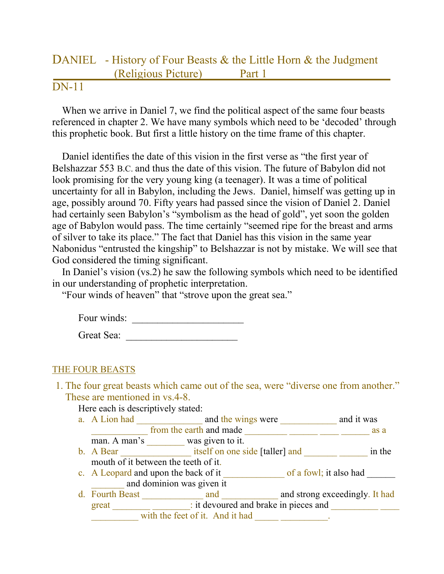## DANIEL - History of Four Beasts & the Little Horn & the Judgment (Religious Picture) Part 1

## DN-11

When we arrive in Daniel 7, we find the political aspect of the same four beasts referenced in chapter 2. We have many symbols which need to be 'decoded' through this prophetic book. But first a little history on the time frame of this chapter.

Daniel identifies the date of this vision in the first verse as "the first year of Belshazzar 553 B.C. and thus the date of this vision. The future of Babylon did not look promising for the very young king (a teenager). It was a time of political uncertainty for all in Babylon, including the Jews. Daniel, himself was getting up in age, possibly around 70. Fifty years had passed since the vision of Daniel 2. Daniel had certainly seen Babylon's "symbolism as the head of gold", yet soon the golden age of Babylon would pass. The time certainly "seemed ripe for the breast and arms of silver to take its place." The fact that Daniel has this vision in the same year Nabonidus "entrusted the kingship" to Belshazzar is not by mistake. We will see that God considered the timing significant.

In Daniel's vision (vs.2) he saw the following symbols which need to be identified in our understanding of prophetic interpretation.

"Four winds of heaven" that "strove upon the great sea."

| Four winds: |  |  |
|-------------|--|--|
|             |  |  |

| Great Sea: |  |  |
|------------|--|--|
|            |  |  |

## THE FOUR BEASTS

1. The four great beasts which came out of the sea, were "diverse one from another." These are mentioned in vs.4-8.

Here each is descriptively stated:

- a. A Lion had \_\_\_\_\_\_\_\_\_\_\_\_\_\_\_\_ and the wings were \_\_\_\_\_\_\_\_\_\_\_\_ and it was \_\_\_\_\_\_\_\_\_\_\_\_ from the earth and made \_\_\_\_\_\_\_\_\_ \_\_\_\_\_\_ \_\_\_\_ \_\_\_\_\_\_ as a
- man. A man's was given to it. b. A Bear itself on one side [taller] and \_\_\_\_\_\_\_ in the mouth of it between the teeth of it.
- c. A Leopard and upon the back of it \_\_\_\_\_\_\_\_\_\_\_\_\_ of a fowl; it also had \_\_\_\_\_\_ and dominion was given it
- d. Fourth Beast \_\_\_\_\_\_\_\_\_\_\_\_\_ and \_\_\_\_\_\_\_\_\_\_\_ and strong exceedingly. It had great \_\_\_\_\_\_\_\_ \_\_\_\_\_\_\_\_: it devoured and brake in pieces and \_\_\_\_\_\_\_\_\_\_ \_\_\_\_ with the feet of it. And it had  $\frac{1}{\sqrt{2\pi}}$ .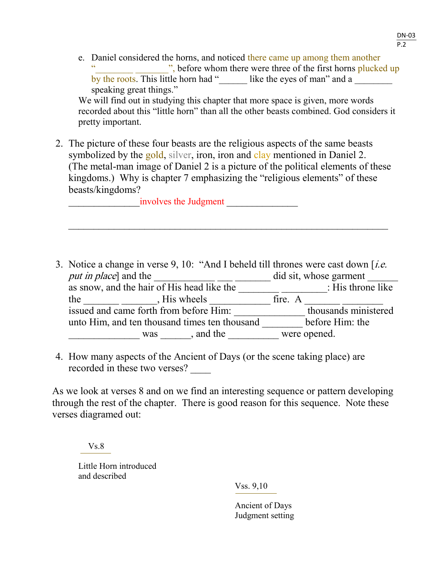e. Daniel considered the horns, and noticed there came up among them another ", before whom there were three of the first horns plucked up by the roots. This little horn had " like the eyes of man" and a speaking great things."

We will find out in studying this chapter that more space is given, more words recorded about this "little horn" than all the other beasts combined. God considers it pretty important.

2. The picture of these four beasts are the religious aspects of the same beasts symbolized by the gold, silver, iron, iron and clay mentioned in Daniel 2. (The metal-man image of Daniel 2 is a picture of the political elements of these kingdoms.) Why is chapter 7 emphasizing the "religious elements" of these beasts/kingdoms?

 $\mathcal{L}_\mathcal{L}$  , and the contribution of the contribution of the contribution of the contribution of the contribution of the contribution of the contribution of the contribution of the contribution of the contribution of

involves the Judgment

- 3. Notice a change in verse 9, 10: "And I beheld till thrones were cast down  $[i.e.$ put in place] and the did sit, whose garment as snow, and the hair of His head like the \_\_\_\_\_\_\_\_\_\_\_\_\_\_\_\_: His throne like the  $\frac{1}{\sqrt{2\pi}}$   $\frac{1}{\sqrt{2\pi}}$ , His wheels  $\frac{1}{\sqrt{2\pi}}$  fire. A  $\frac{1}{\sqrt{2\pi}}$ issued and came forth from before Him: \_\_\_\_\_\_\_\_\_\_\_\_\_\_ thousands ministered unto Him, and ten thousand times ten thousand \_\_\_\_\_\_\_\_ before Him: the was , and the were opened.
- 4. How many aspects of the Ancient of Days (or the scene taking place) are recorded in these two verses?

As we look at verses 8 and on we find an interesting sequence or pattern developing through the rest of the chapter. There is good reason for this sequence. Note these verses diagramed out:

 $Vs.8$ 

Little Horn introduced and described

Vss. 9,10

Ancient of Days Judgment setting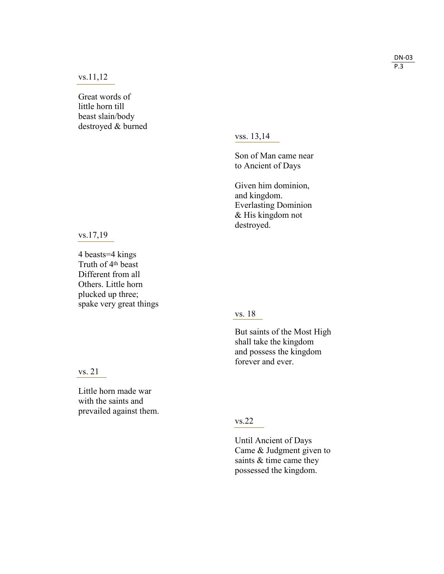vs.11,12

Great words of little horn till beast slain/body destroyed & burned

vss. 13,14

Son of Man came near to Ancient of Days

Given him dominion, and kingdom . Everlasting Dominion & His kingdom not destroyed.

vs.17,19

4 beasts=4 kings Truth of 4th beast Different from all Others. Little horn plucked up three; spake very great things

## vs. 18

But saints of the Most High shall take the kingdom and possess the kingdom forever and ever.

vs. 21

Little horn made war with the saints and prevailed against them.

vs.22

Until Ancient of Days Came & Judgment given to saints & time came they possessed the kingdom.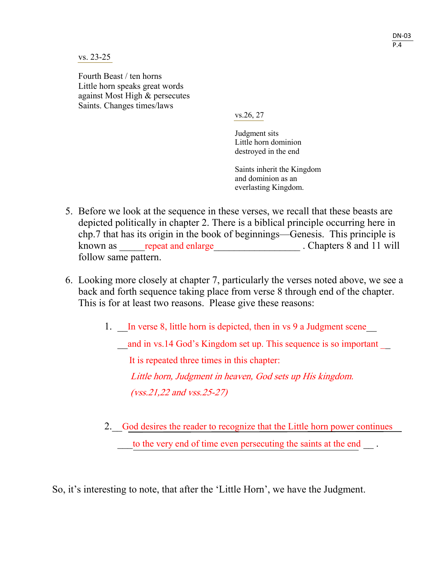vs. 23-25

Fourth Beast / ten horns Little horn speaks great words against Most High & persecutes Saints. Changes times/laws

vs.26, 27

Judgment sits Little horn dominion destroyed in the end

Saints inherit the Kingdom and dominion as an everlasting Kingdom.

- 5. Before we look at the sequence in these verses, we recall that these beasts are depicted politically in chapter 2. There is a biblical principle occurring here in chp.7 that has its origin in the book of beginnings—Genesis. This principle is known as expected and enlarge the chapters 8 and 11 will follow same pattern.
- 6. Looking more closely at chapter 7, particularly the verses noted above, we see a back and forth sequence taking place from verse 8 through end of the chapter. This is for at least two reasons. Please give these reasons:
	- 1. In verse 8, little horn is depicted, then in vs 9 a Judgment scene

and in vs.14 God's Kingdom set up. This sequence is so important

It is repeated three times in this chapter:

Little horn, Judgment in heaven, God sets up His kingdom. (vss.21,22 and vss.25-27)

2. God desires the reader to recognize that the Little horn power continues to the very end of time even persecuting the saints at the end  $\blacksquare$ .

So, it's interesting to note, that after the 'Little Horn', we have the Judgment.